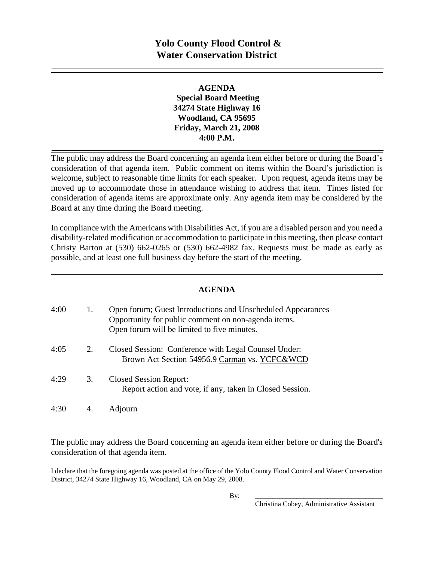# **Yolo County Flood Control & Water Conservation District**

#### **AGENDA Special Board Meeting 34274 State Highway 16 Woodland, CA 95695 Friday, March 21, 2008 4:00 P.M.**

The public may address the Board concerning an agenda item either before or during the Board's consideration of that agenda item. Public comment on items within the Board's jurisdiction is welcome, subject to reasonable time limits for each speaker. Upon request, agenda items may be moved up to accommodate those in attendance wishing to address that item. Times listed for consideration of agenda items are approximate only. Any agenda item may be considered by the Board at any time during the Board meeting.

In compliance with the Americans with Disabilities Act, if you are a disabled person and you need a disability-related modification or accommodation to participate in this meeting, then please contact Christy Barton at (530) 662-0265 or (530) 662-4982 fax. Requests must be made as early as possible, and at least one full business day before the start of the meeting.

#### **AGENDA**

| 4:00 | 1. | Open forum; Guest Introductions and Unscheduled Appearances<br>Opportunity for public comment on non-agenda items.<br>Open forum will be limited to five minutes. |
|------|----|-------------------------------------------------------------------------------------------------------------------------------------------------------------------|
| 4:05 | 2. | Closed Session: Conference with Legal Counsel Under:<br>Brown Act Section 54956.9 Carman vs. YCFC&WCD                                                             |
| 4:29 | 3. | <b>Closed Session Report:</b><br>Report action and vote, if any, taken in Closed Session.                                                                         |
| 4:30 |    | Adjourn                                                                                                                                                           |

The public may address the Board concerning an agenda item either before or during the Board's consideration of that agenda item.

I declare that the foregoing agenda was posted at the office of the Yolo County Flood Control and Water Conservation District, 34274 State Highway 16, Woodland, CA on May 29, 2008.

By: \_\_\_\_\_\_\_\_\_\_\_\_\_\_\_\_\_\_\_\_\_\_\_\_\_\_\_\_\_\_\_\_\_\_\_\_\_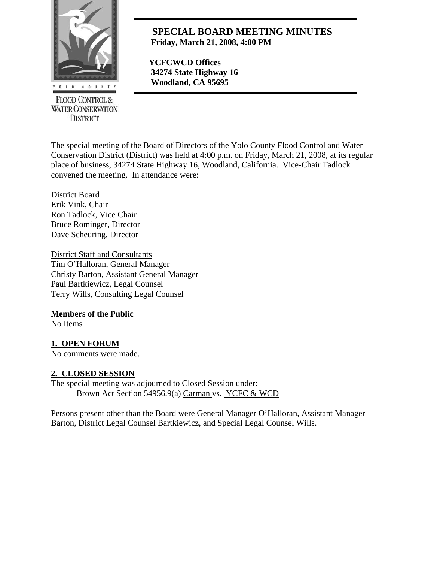

**FLOOD CONTROL & WATER CONSERVATION DISTRICT** 

# **SPECIAL BOARD MEETING MINUTES Friday, March 21, 2008, 4:00 PM**

 **YCFCWCD Offices 34274 State Highway 16**  *Woodland, CA 95695* 

The special meeting of the Board of Directors of the Yolo County Flood Control and Water Conservation District (District) was held at 4:00 p.m. on Friday, March 21, 2008, at its regular place of business, 34274 State Highway 16, Woodland, California. Vice-Chair Tadlock convened the meeting. In attendance were:

District Board Erik Vink, Chair Ron Tadlock, Vice Chair Bruce Rominger, Director Dave Scheuring, Director

District Staff and Consultants Tim O'Halloran, General Manager Christy Barton, Assistant General Manager Paul Bartkiewicz, Legal Counsel Terry Wills, Consulting Legal Counsel

#### **Members of the Public**

No Items

### **1. OPEN FORUM**

No comments were made.

#### **2. CLOSED SESSION**

The special meeting was adjourned to Closed Session under: Brown Act Section 54956.9(a) Carman vs. YCFC & WCD

Persons present other than the Board were General Manager O'Halloran, Assistant Manager Barton, District Legal Counsel Bartkiewicz, and Special Legal Counsel Wills.